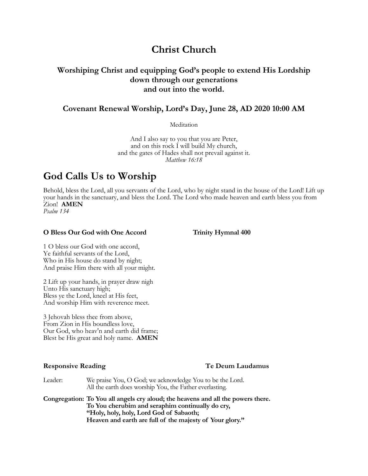# **Christ Church**

## **Worshiping Christ and equipping God's people to extend His Lordship down through our generations and out into the world.**

## **Covenant Renewal Worship, Lord's Day, June 28, AD 2020 10:00 AM**

**Meditation** 

And I also say to you that you are Peter, and on this rock I will build My church, and the gates of Hades shall not prevail against it. *Matthew 16:18*

# **God Calls Us to Worship**

Behold, bless the Lord, all you servants of the Lord, who by night stand in the house of the Lord! Lift up your hands in the sanctuary, and bless the Lord. The Lord who made heaven and earth bless you from Zion! **AMEN** *Psalm 134*

### **O Bless Our God with One Accord Trinity Hymnal 400**

1 O bless our God with one accord, Ye faithful servants of the Lord, Who in His house do stand by night; And praise Him there with all your might.

2 Lift up your hands, in prayer draw nigh Unto His sanctuary high; Bless ye the Lord, kneel at His feet, And worship Him with reverence meet.

3 Jehovah bless thee from above, From Zion in His boundless love, Our God, who heav'n and earth did frame; Blest be His great and holy name. **AMEN**

### **Responsive Reading Te Deum Laudamus**

Leader: We praise You, O God; we acknowledge You to be the Lord. All the earth does worship You, the Father everlasting.

**Congregation: To You all angels cry aloud; the heavens and all the powers there. To You cherubim and seraphim continually do cry, "Holy, holy, holy, Lord God of Sabaoth; Heaven and earth are full of the majesty of Your glory."**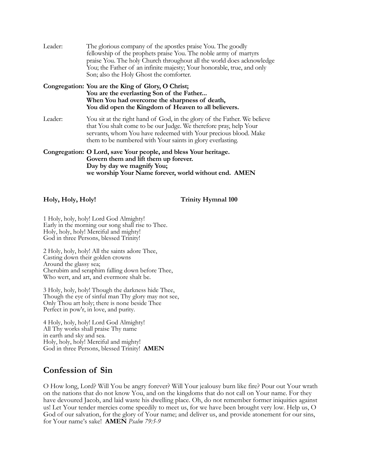| Leader: | The glorious company of the apostles praise You. The goodly<br>fellowship of the prophets praise You. The noble army of martyrs<br>praise You. The holy Church throughout all the world does acknowledge<br>You; the Father of an infinite majesty; Your honorable, true, and only<br>Son; also the Holy Ghost the comforter. |
|---------|-------------------------------------------------------------------------------------------------------------------------------------------------------------------------------------------------------------------------------------------------------------------------------------------------------------------------------|
|         | Congregation: You are the King of Glory, O Christ;<br>You are the everlasting Son of the Father<br>When You had overcome the sharpness of death,<br>You did open the Kingdom of Heaven to all believers.                                                                                                                      |
| Leader: | You sit at the right hand of God, in the glory of the Father. We believe<br>that You shalt come to be our Judge. We therefore pray, help Your<br>servants, whom You have redeemed with Your precious blood. Make<br>them to be numbered with Your saints in glory everlasting.                                                |
|         | Congregation: O Lord, save Your people, and bless Your heritage.<br>Govern them and lift them up forever.<br>Day by day we magnify You;<br>we worship Your Name forever, world without end. AMEN                                                                                                                              |

### **Holy, Holy, Holy! Trinity Hymnal 100**

1 Holy, holy, holy! Lord God Almighty! Early in the morning our song shall rise to Thee. Holy, holy, holy! Merciful and mighty! God in three Persons, blessed Trinity!

2 Holy, holy, holy! All the saints adore Thee, Casting down their golden crowns Around the glassy sea; Cherubim and seraphim falling down before Thee, Who wert, and art, and evermore shalt be.

3 Holy, holy, holy! Though the darkness hide Thee, Though the eye of sinful man Thy glory may not see, Only Thou art holy; there is none beside Thee Perfect in pow'r, in love, and purity.

4 Holy, holy, holy! Lord God Almighty! All Thy works shall praise Thy name in earth and sky and sea. Holy, holy, holy! Merciful and mighty! God in three Persons, blessed Trinity! **AMEN**

## **Confession of Sin**

O How long, Lord? Will You be angry forever? Will Your jealousy burn like fire? Pour out Your wrath on the nations that do not know You, and on the kingdoms that do not call on Your name. For they have devoured Jacob, and laid waste his dwelling place. Oh, do not remember former iniquities against us! Let Your tender mercies come speedily to meet us, for we have been brought very low. Help us, O God of our salvation, for the glory of Your name; and deliver us, and provide atonement for our sins, for Your name's sake! **AMEN** *Psalm 79:5-9*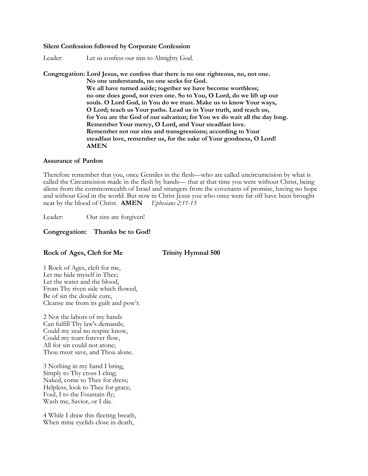### **Silent Confession followed by Corporate Confession**

Leader: Let us confess our sins to Almighty God.

### **Congregation: Lord Jesus, we confess that there is no one righteous, no, not one. No one understands, no one seeks for God. We all have turned aside; together we have become worthless; no one does good, not even one. So to You, O Lord, do we lift up our souls. O Lord God, in You do we trust. Make us to know Your ways, O Lord; teach us Your paths. Lead us in Your truth, and teach us, for You are the God of our salvation; for You we do wait all the day long. Remember Your mercy, O Lord, and Your steadfast love. Remember not our sins and transgressions; according to Your steadfast love, remember us, for the sake of Your goodness, O Lord! AMEN**

### **Assurance of Pardon**

Therefore remember that you, once Gentiles in the flesh—who are called uncircumcision by what is called the Circumcision made in the flesh by hands— that at that time you were without Christ, being aliens from the commonwealth of Israel and strangers from the covenants of promise, having no hope and without God in the world. But now in Christ Jesus you who once were far off have been brought near by the blood of Christ. **AMEN** *Ephesians 2:11-13*

Leader: Our sins are forgiven!

### **Congregation: Thanks be to God!**

### Rock of Ages, Cleft for Me Trinity Hymnal 500

1 Rock of Ages, cleft for me, Let me hide myself in Thee; Let the water and the blood, From Thy riven side which flowed, Be of sin the double cure, Cleanse me from its guilt and pow'r.

2 Not the labors of my hands Can fulfill Thy law's demands; Could my zeal no respite know, Could my tears forever flow, All for sin could not atone; Thou must save, and Thou alone.

3 Nothing in my hand I bring, Simply to Thy cross I cling; Naked, come to Thee for dress; Helpless, look to Thee for grace; Foul, I to the Fountain fly; Wash me, Savior, or I die.

4 While I draw this fleeting breath, When mine eyelids close in death,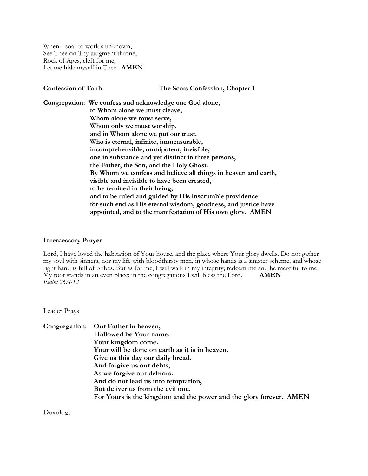When I soar to worlds unknown, See Thee on Thy judgment throne, Rock of Ages, cleft for me, Let me hide myself in Thee. **AMEN**

**Confession of Faith The Scots Confession, Chapter 1 Congregation: We confess and acknowledge one God alone, to Whom alone we must cleave, Whom alone we must serve, Whom only we must worship, and in Whom alone we put our trust. Who is eternal, infinite, immeasurable, incomprehensible, omnipotent, invisible; one in substance and yet distinct in three persons, the Father, the Son, and the Holy Ghost. By Whom we confess and believe all things in heaven and earth, visible and invisible to have been created, to be retained in their being, and to be ruled and guided by His inscrutable providence for such end as His eternal wisdom, goodness, and justice have appointed, and to the manifestation of His own glory. AMEN**

### **Intercessory Prayer**

Lord, I have loved the habitation of Your house, and the place where Your glory dwells. Do not gather my soul with sinners, nor my life with bloodthirsty men, in whose hands is a sinister scheme, and whose right hand is full of bribes. But as for me, I will walk in my integrity; redeem me and be merciful to me. My foot stands in an even place; in the congregations I will bless the Lord. **AMEN** *Psalm 26:8-12*

Leader Prays

**Congregation: Our Father in heaven, Hallowed be Your name. Your kingdom come. Your will be done on earth as it is in heaven. Give us this day our daily bread. And forgive us our debts, As we forgive our debtors. And do not lead us into temptation, But deliver us from the evil one. For Yours is the kingdom and the power and the glory forever. AMEN**

Doxology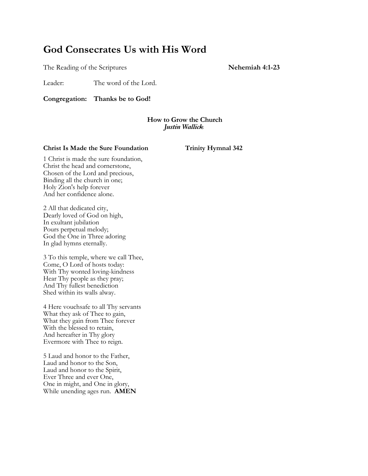# **God Consecrates Us with His Word**

The Reading of the Scriptures **Nehemiah 4:1-23**

Leader: The word of the Lord.

**Congregation: Thanks be to God!**

### **How to Grow the Church** *Justin Wallick*

### **Christ Is Made the Sure Foundation Trinity Hymnal 342**

1 Christ is made the sure foundation, Christ the head and cornerstone, Chosen of the Lord and precious, Binding all the church in one; Holy Zion's help forever And her confidence alone.

2 All that dedicated city, Dearly loved of God on high, In exultant jubilation Pours perpetual melody; God the One in Three adoring In glad hymns eternally.

3 To this temple, where we call Thee, Come, O Lord of hosts today: With Thy wonted loving-kindness Hear Thy people as they pray; And Thy fullest benediction Shed within its walls alway.

4 Here vouchsafe to all Thy servants What they ask of Thee to gain, What they gain from Thee forever With the blessed to retain, And hereafter in Thy glory Evermore with Thee to reign.

5 Laud and honor to the Father, Laud and honor to the Son, Laud and honor to the Spirit, Ever Three and ever One, One in might, and One in glory, While unending ages run. **AMEN**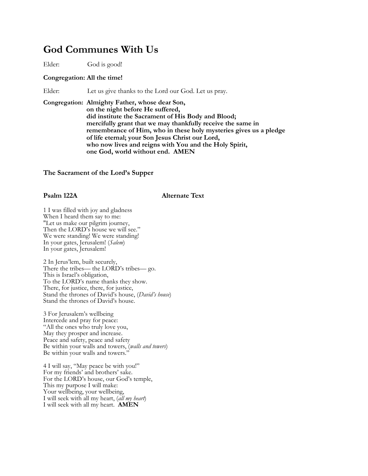## **God Communes With Us**

Elder: God is good!

### **Congregation: All the time!**

Elder: Let us give thanks to the Lord our God. Let us pray.

**Congregation: Almighty Father, whose dear Son, on the night before He suffered, did institute the Sacrament of His Body and Blood; mercifully grant that we may thankfully receive the same in remembrance of Him, who in these holy mysteries gives us a pledge of life eternal; your Son Jesus Christ our Lord, who now lives and reigns with You and the Holy Spirit, one God, world without end. AMEN**

### **The Sacrament of the Lord's Supper**

### **Psalm 122A** Alternate Text

1 I was filled with joy and gladness When I heard them say to me: "Let us make our pilgrim journey, Then the LORD's house we will see." We were standing! We were standing! In your gates, Jerusalem! (*Salem*) In your gates, Jerusalem!

2 In Jerus'lem, built securely, There the tribes— the LORD's tribes— go. This is Israel's obligation, To the LORD's name thanks they show. There, for justice, there, for justice, Stand the thrones of David's house, (*David's house*) Stand the thrones of David's house.

3 For Jerusalem's wellbeing Intercede and pray for peace: "All the ones who truly love you, May they prosper and increase. Peace and safety, peace and safety Be within your walls and towers, (*walls and towers*) Be within your walls and towers.'

4 I will say, "May peace be with you!" For my friends' and brothers' sake. For the LORD's house, our God's temple, This my purpose I will make: Your wellbeing, your wellbeing, I will seek with all my heart, (*all my heart*) I will seek with all my heart. **AMEN**